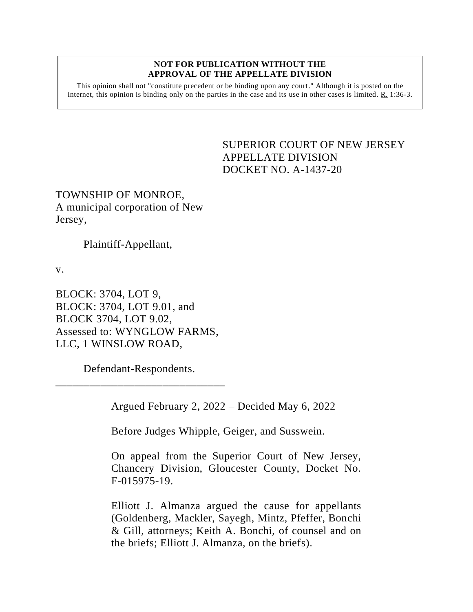#### **NOT FOR PUBLICATION WITHOUT THE APPROVAL OF THE APPELLATE DIVISION**

This opinion shall not "constitute precedent or be binding upon any court." Although it is posted on the internet, this opinion is binding only on the parties in the case and its use in other cases is limited.  $R_1$  1:36-3.

> <span id="page-0-0"></span>SUPERIOR COURT OF NEW JERSEY APPELLATE DIVISION DOCKET NO. A-1437-20

TOWNSHIP OF MONROE, A municipal corporation of New Jersey,

Plaintiff-Appellant,

v.

BLOCK: 3704, LOT 9, BLOCK: 3704, LOT 9.01, and BLOCK 3704, LOT 9.02, Assessed to: WYNGLOW FARMS, LLC, 1 WINSLOW ROAD,

Defendant-Respondents. \_\_\_\_\_\_\_\_\_\_\_\_\_\_\_\_\_\_\_\_\_\_\_\_\_\_\_\_\_\_

Argued February 2, 2022 – Decided May 6, 2022

Before Judges Whipple, Geiger, and Susswein.

On appeal from the Superior Court of New Jersey, Chancery Division, Gloucester County, Docket No. F-015975-19.

Elliott J. Almanza argued the cause for appellants (Goldenberg, Mackler, Sayegh, Mintz, Pfeffer, Bonchi & Gill, attorneys; Keith A. Bonchi, of counsel and on the briefs; Elliott J. Almanza, on the briefs).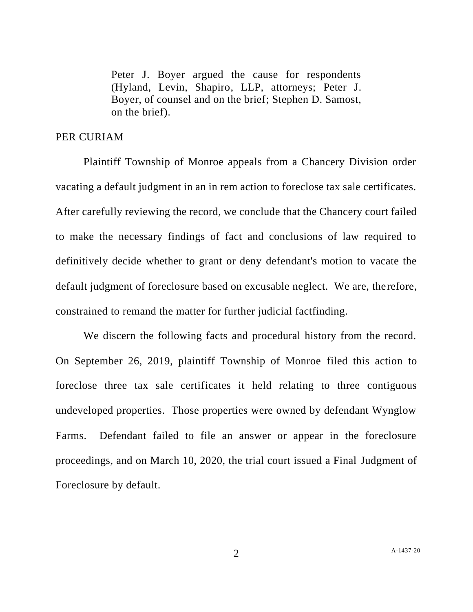Peter J. Boyer argued the cause for respondents (Hyland, Levin, Shapiro, LLP, attorneys; Peter J. Boyer, of counsel and on the brief; Stephen D. Samost, on the brief).

### PER CURIAM

Plaintiff Township of Monroe appeals from a Chancery Division order vacating a default judgment in an in rem action to foreclose tax sale certificates. After carefully reviewing the record, we conclude that the Chancery court failed to make the necessary findings of fact and conclusions of law required to definitively decide whether to grant or deny defendant's motion to vacate the default judgment of foreclosure based on excusable neglect. We are, therefore, constrained to remand the matter for further judicial factfinding.

We discern the following facts and procedural history from the record. On September 26, 2019, plaintiff Township of Monroe filed this action to foreclose three tax sale certificates it held relating to three contiguous undeveloped properties. Those properties were owned by defendant Wynglow Farms. Defendant failed to file an answer or appear in the foreclosure proceedings, and on March 10, 2020, the trial court issued a Final Judgment of Foreclosure by default.

2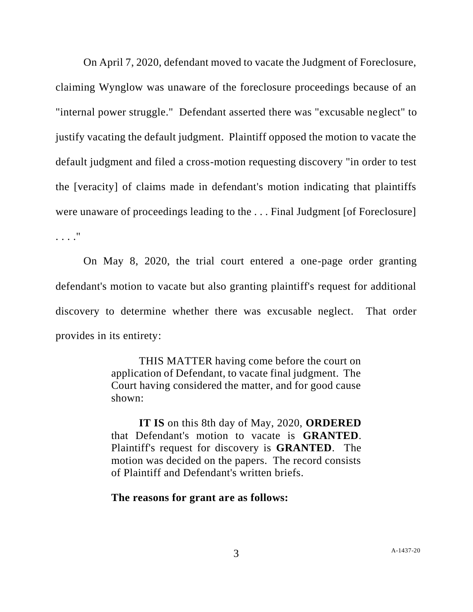On April 7, 2020, defendant moved to vacate the Judgment of Foreclosure, claiming Wynglow was unaware of the foreclosure proceedings because of an "internal power struggle." Defendant asserted there was "excusable neglect" to justify vacating the default judgment. Plaintiff opposed the motion to vacate the default judgment and filed a cross-motion requesting discovery "in order to test the [veracity] of claims made in defendant's motion indicating that plaintiffs were unaware of proceedings leading to the . . . Final Judgment [of Foreclosure] . . . ."

On May 8, 2020, the trial court entered a one-page order granting defendant's motion to vacate but also granting plaintiff's request for additional discovery to determine whether there was excusable neglect. That order provides in its entirety:

> THIS MATTER having come before the court on application of Defendant, to vacate final judgment. The Court having considered the matter, and for good cause shown:

> **IT IS** on this 8th day of May, 2020, **ORDERED** that Defendant's motion to vacate is **GRANTED**. Plaintiff's request for discovery is **GRANTED**. The motion was decided on the papers. The record consists of Plaintiff and Defendant's written briefs.

#### **The reasons for grant are as follows:**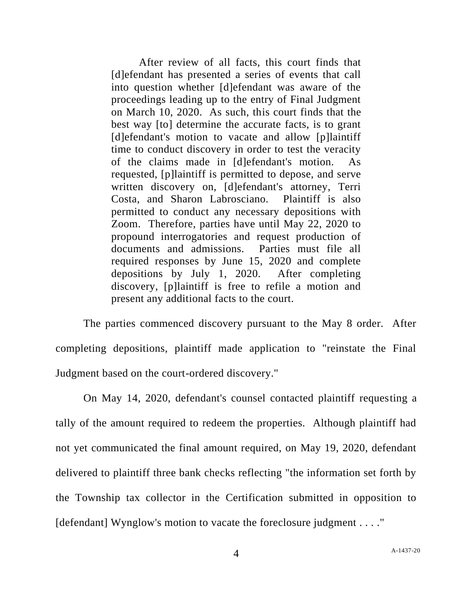After review of all facts, this court finds that [d]efendant has presented a series of events that call into question whether [d]efendant was aware of the proceedings leading up to the entry of Final Judgment on March 10, 2020. As such, this court finds that the best way [to] determine the accurate facts, is to grant [d]efendant's motion to vacate and allow [p]laintiff time to conduct discovery in order to test the veracity of the claims made in [d]efendant's motion. As requested, [p]laintiff is permitted to depose, and serve written discovery on, [d]efendant's attorney, Terri Costa, and Sharon Labrosciano. Plaintiff is also permitted to conduct any necessary depositions with Zoom. Therefore, parties have until May 22, 2020 to propound interrogatories and request production of documents and admissions. Parties must file all required responses by June 15, 2020 and complete depositions by July 1, 2020. After completing discovery, [p]laintiff is free to refile a motion and present any additional facts to the court.

The parties commenced discovery pursuant to the May 8 order. After completing depositions, plaintiff made application to "reinstate the Final Judgment based on the court-ordered discovery."

On May 14, 2020, defendant's counsel contacted plaintiff requesting a tally of the amount required to redeem the properties. Although plaintiff had not yet communicated the final amount required, on May 19, 2020, defendant delivered to plaintiff three bank checks reflecting "the information set forth by the Township tax collector in the Certification submitted in opposition to [defendant] Wynglow's motion to vacate the foreclosure judgment . . . . "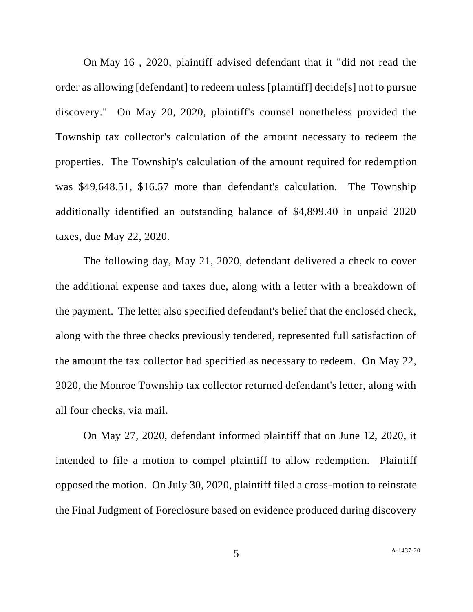On May 16 , 2020, plaintiff advised defendant that it "did not read the order as allowing [defendant] to redeem unless [plaintiff] decide[s] not to pursue discovery." On May 20, 2020, plaintiff's counsel nonetheless provided the Township tax collector's calculation of the amount necessary to redeem the properties. The Township's calculation of the amount required for redemption was \$49,648.51, \$16.57 more than defendant's calculation. The Township additionally identified an outstanding balance of \$4,899.40 in unpaid 2020 taxes, due May 22, 2020.

The following day, May 21, 2020, defendant delivered a check to cover the additional expense and taxes due, along with a letter with a breakdown of the payment. The letter also specified defendant's belief that the enclosed check, along with the three checks previously tendered, represented full satisfaction of the amount the tax collector had specified as necessary to redeem. On May 22, 2020, the Monroe Township tax collector returned defendant's letter, along with all four checks, via mail.

On May 27, 2020, defendant informed plaintiff that on June 12, 2020, it intended to file a motion to compel plaintiff to allow redemption. Plaintiff opposed the motion. On July 30, 2020, plaintiff filed a cross-motion to reinstate the Final Judgment of Foreclosure based on evidence produced during discovery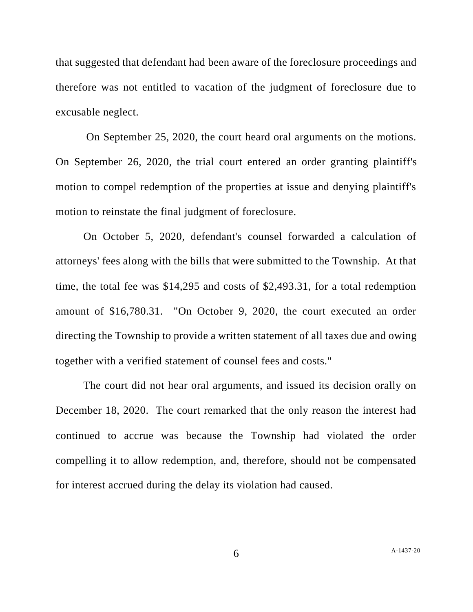that suggested that defendant had been aware of the foreclosure proceedings and therefore was not entitled to vacation of the judgment of foreclosure due to excusable neglect.

On September 25, 2020, the court heard oral arguments on the motions. On September 26, 2020, the trial court entered an order granting plaintiff's motion to compel redemption of the properties at issue and denying plaintiff's motion to reinstate the final judgment of foreclosure.

On October 5, 2020, defendant's counsel forwarded a calculation of attorneys' fees along with the bills that were submitted to the Township. At that time, the total fee was \$14,295 and costs of \$2,493.31, for a total redemption amount of \$16,780.31. "On October 9, 2020, the court executed an order directing the Township to provide a written statement of all taxes due and owing together with a verified statement of counsel fees and costs."

The court did not hear oral arguments, and issued its decision orally on December 18, 2020. The court remarked that the only reason the interest had continued to accrue was because the Township had violated the order compelling it to allow redemption, and, therefore, should not be compensated for interest accrued during the delay its violation had caused.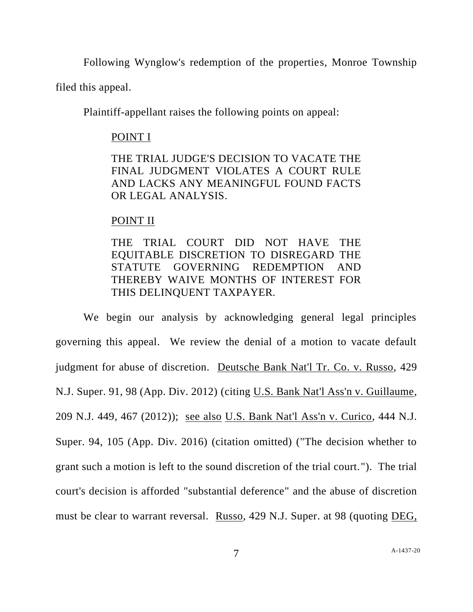Following Wynglow's redemption of the properties, Monroe Township

filed this appeal.

Plaintiff-appellant raises the following points on appeal:

### POINT I

THE TRIAL JUDGE'S DECISION TO VACATE THE FINAL JUDGMENT VIOLATES A COURT RULE AND LACKS ANY MEANINGFUL FOUND FACTS OR LEGAL ANALYSIS.

## POINT II

# THE TRIAL COURT DID NOT HAVE THE EQUITABLE DISCRETION TO DISREGARD THE STATUTE GOVERNING REDEMPTION AND THEREBY WAIVE MONTHS OF INTEREST FOR THIS DELINQUENT TAXPAYER.

We begin our analysis by acknowledging general legal principles governing this appeal. We review the denial of a motion to vacate default judgment for abuse of discretion. Deutsche Bank Nat'l Tr. Co. v. Russo, 429 N.J. Super. 91, 98 (App. Div. 2012) (citing U.S. Bank Nat'l Ass'n v. Guillaume, 209 N.J. 449, 467 (2012)); see also U.S. Bank Nat'l Ass'n v. Curico, 444 N.J. Super. 94, 105 (App. Div. 2016) (citation omitted) ("The decision whether to grant such a motion is left to the sound discretion of the trial court."). The trial court's decision is afforded "substantial deference" and the abuse of discretion must be clear to warrant reversal. Russo, 429 N.J. Super. at 98 (quoting DEG,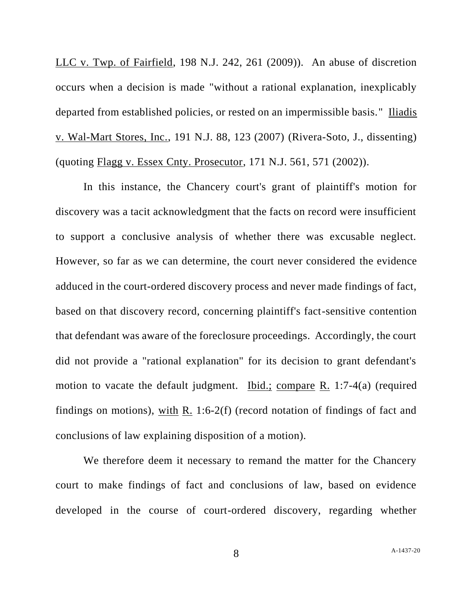LLC v. Twp. of Fairfield, 198 N.J. 242, 261 (2009)). An abuse of discretion occurs when a decision is made "without a rational explanation, inexplicably departed from established policies, or rested on an impermissible basis." Iliadis v. Wal-Mart Stores, Inc., 191 N.J. 88, 123 (2007) (Rivera-Soto, J., dissenting) (quoting Flagg v. Essex Cnty. Prosecutor, 171 N.J. 561, 571 (2002)).

In this instance, the Chancery court's grant of plaintiff's motion for discovery was a tacit acknowledgment that the facts on record were insufficient to support a conclusive analysis of whether there was excusable neglect. However, so far as we can determine, the court never considered the evidence adduced in the court-ordered discovery process and never made findings of fact, based on that discovery record, concerning plaintiff's fact-sensitive contention that defendant was aware of the foreclosure proceedings. Accordingly, the court did not provide a "rational explanation" for its decision to grant defendant's motion to vacate the default judgment. Ibid.; compare R. 1:7-4(a) (required findings on motions), with R. 1:6-2(f) (record notation of findings of fact and conclusions of law explaining disposition of a motion).

We therefore deem it necessary to remand the matter for the Chancery court to make findings of fact and conclusions of law, based on evidence developed in the course of court-ordered discovery, regarding whether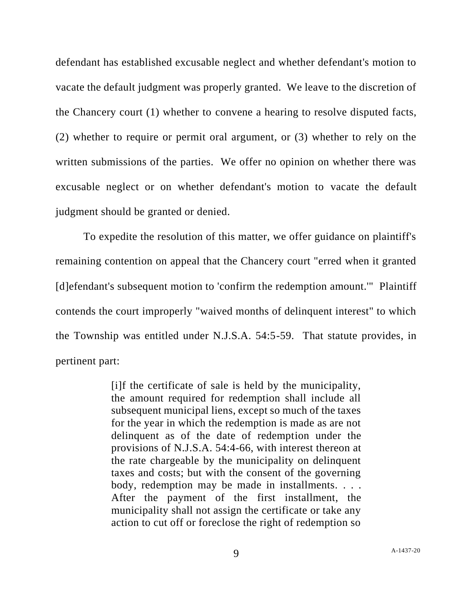defendant has established excusable neglect and whether defendant's motion to vacate the default judgment was properly granted. We leave to the discretion of the Chancery court (1) whether to convene a hearing to resolve disputed facts, (2) whether to require or permit oral argument, or (3) whether to rely on the written submissions of the parties. We offer no opinion on whether there was excusable neglect or on whether defendant's motion to vacate the default judgment should be granted or denied.

To expedite the resolution of this matter, we offer guidance on plaintiff's remaining contention on appeal that the Chancery court "erred when it granted [d]efendant's subsequent motion to 'confirm the redemption amount.'" Plaintiff contends the court improperly "waived months of delinquent interest" to which the Township was entitled under N.J.S.A. 54:5-59. That statute provides, in pertinent part:

> [i]f the certificate of sale is held by the municipality, the amount required for redemption shall include all subsequent municipal liens, except so much of the taxes for the year in which the redemption is made as are not delinquent as of the date of redemption under the provisions of N.J.S.A. 54:4-66, with interest thereon at the rate chargeable by the municipality on delinquent taxes and costs; but with the consent of the governing body, redemption may be made in installments. . . . After the payment of the first installment, the municipality shall not assign the certificate or take any action to cut off or foreclose the right of redemption so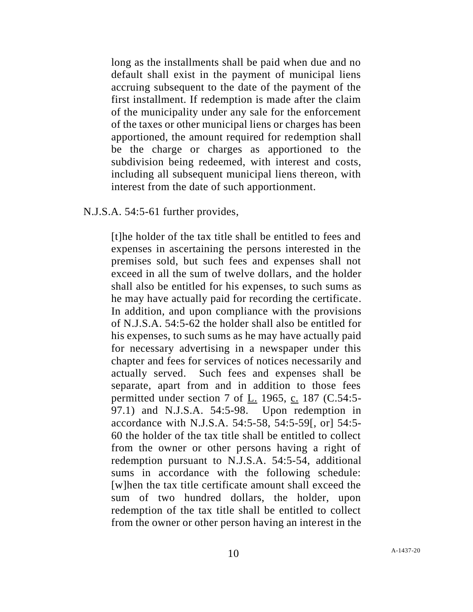long as the installments shall be paid when due and no default shall exist in the payment of municipal liens accruing subsequent to the date of the payment of the first installment. If redemption is made after the claim of the municipality under any sale for the enforcement of the taxes or other municipal liens or charges has been apportioned, the amount required for redemption shall be the charge or charges as apportioned to the subdivision being redeemed, with interest and costs, including all subsequent municipal liens thereon, with interest from the date of such apportionment.

#### N.J.S.A. 54:5-61 further provides,

[t]he holder of the tax title shall be entitled to fees and expenses in ascertaining the persons interested in the premises sold, but such fees and expenses shall not exceed in all the sum of twelve dollars, and the holder shall also be entitled for his expenses, to such sums as he may have actually paid for recording the certificate. In addition, and upon compliance with the provisions of N.J.S.A. 54:5-62 the holder shall also be entitled for his expenses, to such sums as he may have actually paid for necessary advertising in a newspaper under this chapter and fees for services of notices necessarily and actually served. Such fees and expenses shall be separate, apart from and in addition to those fees permitted under section 7 of L. 1965, c. 187 (C.54:5- 97.1) and N.J.S.A. 54:5-98. Upon redemption in accordance with N.J.S.A. 54:5-58, 54:5-59[, or] 54:5- 60 the holder of the tax title shall be entitled to collect from the owner or other persons having a right of redemption pursuant to N.J.S.A. 54:5-54, additional sums in accordance with the following schedule: [w]hen the tax title certificate amount shall exceed the sum of two hundred dollars, the holder, upon redemption of the tax title shall be entitled to collect from the owner or other person having an interest in the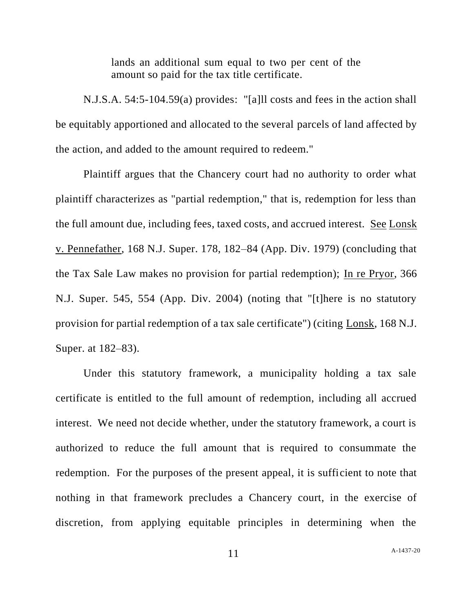lands an additional sum equal to two per cent of the amount so paid for the tax title certificate.

N.J.S.A. 54:5-104.59(a) provides: "[a]ll costs and fees in the action shall be equitably apportioned and allocated to the several parcels of land affected by the action, and added to the amount required to redeem."

Plaintiff argues that the Chancery court had no authority to order what plaintiff characterizes as "partial redemption," that is, redemption for less than the full amount due, including fees, taxed costs, and accrued interest. See Lonsk v. Pennefather, 168 N.J. Super. 178, 182–84 (App. Div. 1979) (concluding that the Tax Sale Law makes no provision for partial redemption); In re Pryor, 366 N.J. Super. 545, 554 (App. Div. 2004) (noting that "[t]here is no statutory provision for partial redemption of a tax sale certificate") (citing Lonsk, 168 N.J. Super. at 182–83).

Under this statutory framework, a municipality holding a tax sale certificate is entitled to the full amount of redemption, including all accrued interest. We need not decide whether, under the statutory framework, a court is authorized to reduce the full amount that is required to consummate the redemption. For the purposes of the present appeal, it is sufficient to note that nothing in that framework precludes a Chancery court, in the exercise of discretion, from applying equitable principles in determining when the